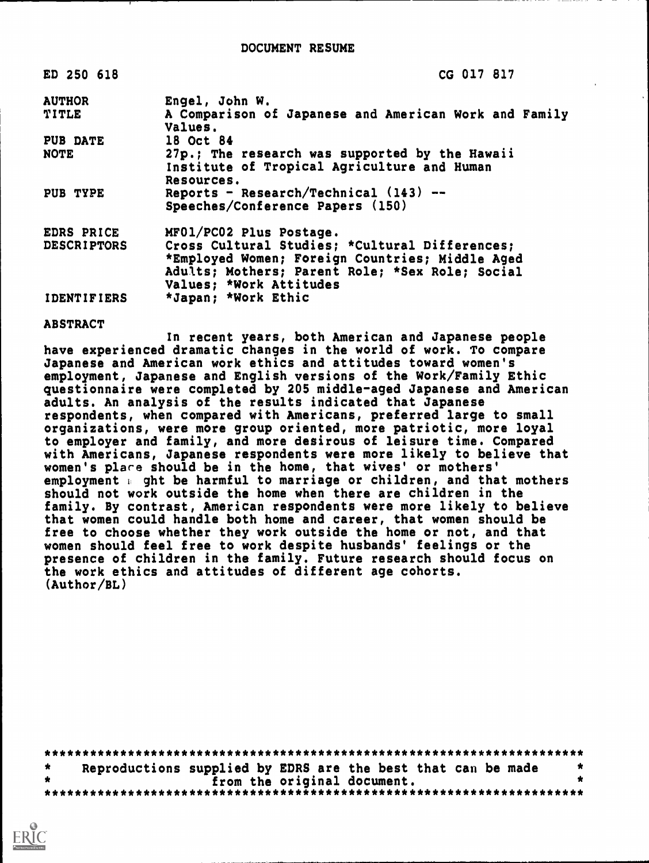| ED 250 618         | CG 017 817                                                       |
|--------------------|------------------------------------------------------------------|
| <b>AUTHOR</b>      | Engel, John W.                                                   |
| <b>TITLE</b>       | A Comparison of Japanese and American Work and Family<br>Values. |
| PUB DATE           | 18 Oct 84                                                        |
| <b>NOTE</b>        | 27p.; The research was supported by the Hawaii                   |
|                    | Institute of Tropical Agriculture and Human                      |
|                    | Resources.                                                       |
| PUB TYPE           | Reports - Research/Technical $(143)$ --                          |
|                    | Speeches/Conference Papers (150)                                 |
| EDRS PRICE         | MF01/PC02 Plus Postage.                                          |
| <b>DESCRIPTORS</b> | Cross Cultural Studies; *Cultural Differences;                   |
|                    | *Employed Women; Foreign Countries; Middle Aged                  |
|                    | Adults; Mothers; Parent Role; *Sex Role; Social                  |
|                    | Values; *Work Attitudes                                          |
| <b>IDENTIFIERS</b> | *Japan; *Work Ethic                                              |
|                    |                                                                  |

#### ABSTRACT

In recent years, both American and Japanese people have experienced dramatic changes in the world of work. To compare Japanese and American work ethics and attitudes toward women's employment, Japanese and English versions of the Work/Family Ethic questionnaire were completed by 205 middle-aged Japanese and American adults. An analysis of the results indicated that Japanese respondents, when compared with Americans, preferred large to small organizations, were more group oriented, more patriotic, more loyal to employer and family, and more desirous of leisure time. Compared with Americans, Japanese respondents were more likely to believe that women's place should be in the home, that wives' or mothers' employment  $\epsilon$  ght be harmful to marriage or children, and that mothers should not work outside the home when there are children in the family. By contrast, American respondents were more likely to believe that women could handle both home and career, that women should be free to choose whether they work outside the home or not, and that women should feel free to work despite husbands' feelings or the presence of children in the family. Future research should focus on the work ethics and attitudes of different age cohorts. (Author/BL)

| Reproductions supplied by EDRS are the best that can be made |  |                             |  |  |
|--------------------------------------------------------------|--|-----------------------------|--|--|
|                                                              |  | from the original document. |  |  |
|                                                              |  |                             |  |  |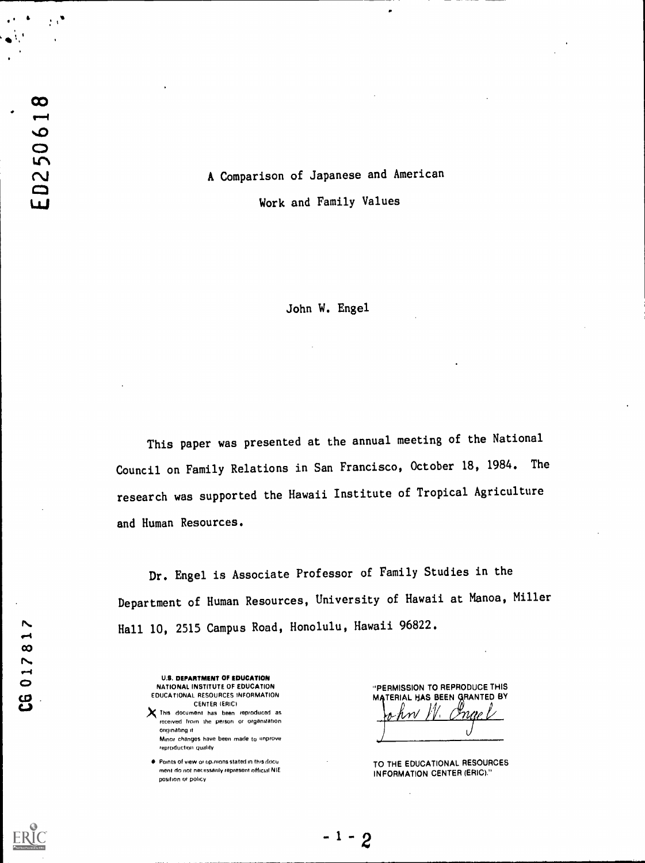# A Comparison of Japanese and American

Work and Family Values

John W. Engel

This paper was presented at the annual meeting of the National Council on Family Relations in San Francisco, October 18, 1984. The research was supported the Hawaii Institute of Tropical Agriculture and Human Resources.

Dr. Engel is Associate Professor of Family Studies in the Department of Human Resources, University of Hawaii at Manoa, Miller Hall 10, 2515 Campus Road, Honolulu, Hawaii 96822.

 $-1-2$ 

U.S. DEPARTMENT OF EDUCATION NATIONAL INSTITUTE OF EDUCATION EDUCATIONAL RESOURCES INFORMATION CENTER IERICI

 $\boldsymbol{\chi}$  This document has been reproduced as received from the person or organization originating it Minor changes have been made to improve reproduction quality

Points of view or op.mons stated in this docu ment do not necessarily represent official NIE position or policy

"PERMISSION TO REPRODUCE THIS MATERIAL HAS BEEN GRANTED BY

TO THE EDUCATIONAL RESOURCES INFORMATION CENTER (ERIC)."

CG 017817

&

ED250618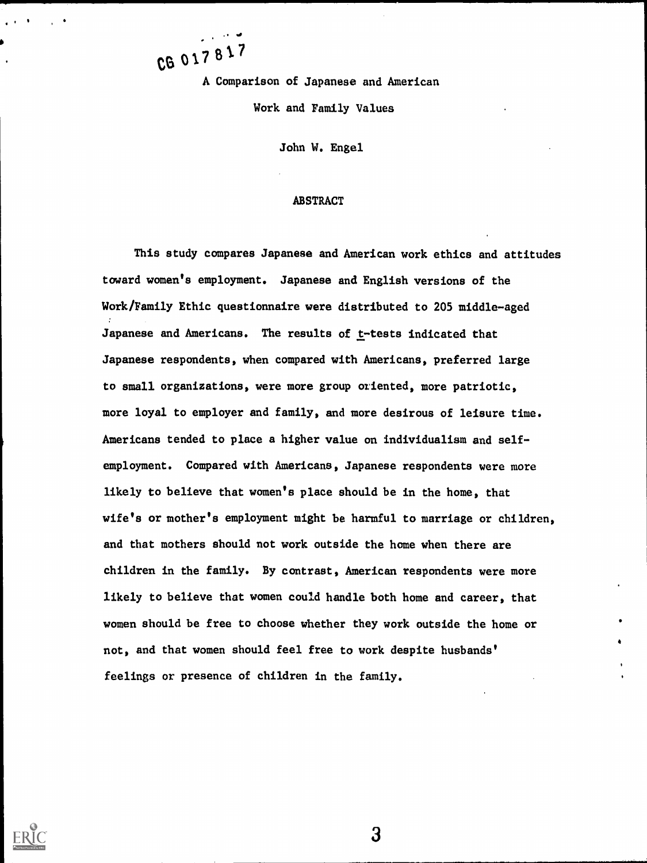CB 01781' A Comparison of Japanese and American Work and Family Values

.

John W. Engel

#### ABSTRACT

This study compares Japanese and American work ethics and attitudes toward women's employment. Japanese and English versions of the Work/Family Ethic questionnaire were distributed to 205 middle-aged Japanese and Americans. The results of t-tests indicated that Japanese respondents, when compared with Americans, preferred large to small organizations, were more group oriented, more patriotic, more loyal to employer and family, and more desirous of leisure time. Americans tended to place a higher value on individualism and selfemployment. Compared with Americans, Japanese respondents were more likely to believe that women's place should be in the home, that wife's or mother's employment might be harmful to marriage or children, and that mothers should not work outside the home when there are children in the family. By contrast, American respondents were more likely to believe that women could handle both home and career, that women should be free to choose whether they work outside the home or not, and that women should feel free to work despite husbands' feelings or presence of children in the family.

 $\mathbf{3}$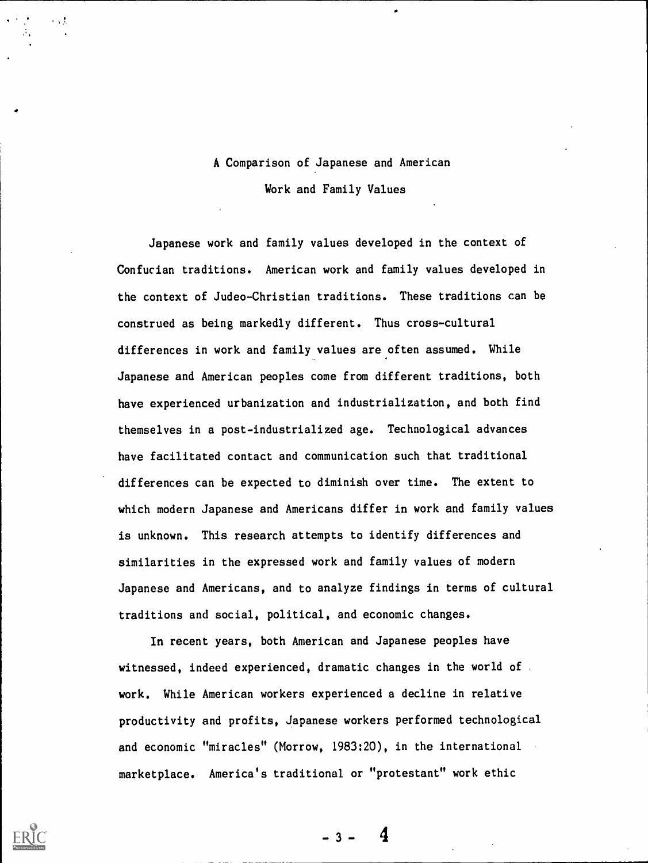# A Comparison of Japanese and American Work and Family Values

Japanese work and family values developed in the context of Confucian traditions. American work and family values developed in the context of Judeo-Christian traditions. These traditions can be construed as being markedly different. Thus cross-cultural differences in work and family values are often assumed. While Japanese and American peoples come from different traditions, both have experienced urbanization and industrialization, and both find themselves in a post-industrialized age. Technological advances have facilitated contact and communication such that traditional differences can be expected to diminish over time. The extent to which modern Japanese and Americans differ in work and family values is unknown. This research attempts to identify differences and similarities in the expressed work and family values of modern Japanese and Americans, and to analyze findings in terms of cultural traditions and social, political, and economic changes.

In recent years, both American and Japanese peoples have witnessed, indeed experienced, dramatic changes in the world of work. While American workers experienced a decline in relative productivity and profits, Japanese workers performed technological and economic "miracles" (Morrow, 1983:20), in the international marketplace. America's traditional or "protestant" work ethic

 $-3 -$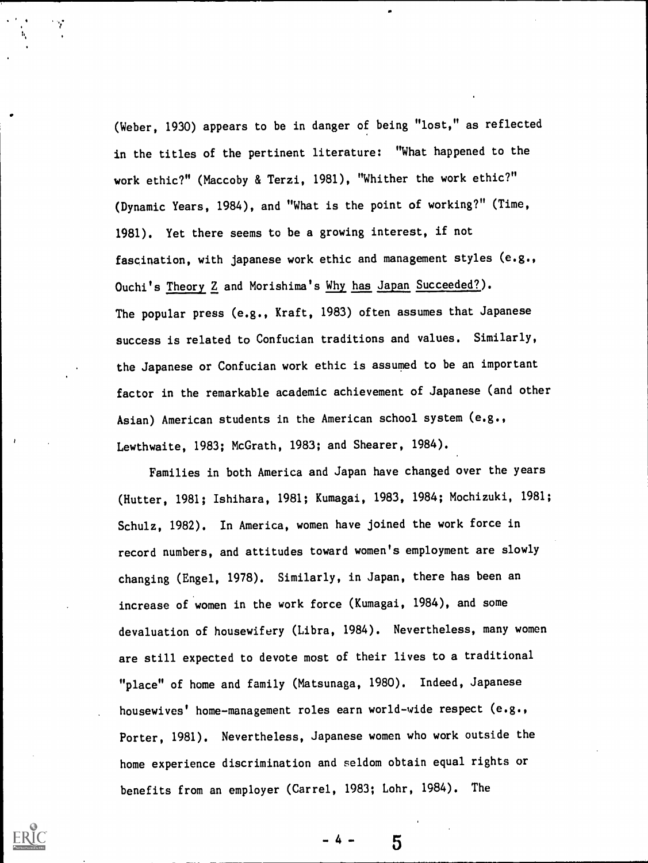(Weber, 1930) appears to be in danger of being "lost," as reflected in the titles of the pertinent literature: "What happened to the work ethic?" (Maccoby & Terzi, 1981), "Whither the work ethic?" (Dynamic Years, 1984), and "What is the point of working?" (Time, 1981). Yet there seems to be a growing interest, if not fascination, with Japanese work ethic and management styles (e.g., Ouchi's Theory Z and Morishima's Why has Japan Succeeded?). The popular press (e.g., Kraft, 1983) often assumes that Japanese success is related to Confucian traditions and values. Similarly, the Japanese or Confucian work ethic is assumed to be an important factor in the remarkable academic achievement of Japanese (and other Asian) American students in the American school system (e.g., Lewthwaite, 1983; McGrath, 1983; and Shearer, 1984).

Families in both America and Japan have changed over the years (Hutter, 1981; Ishihara, 1981; Kumagai, 1983, 1984; Mochizuki, 1981; Schulz, 1982). In America, women have Joined the work force in record numbers, and attitudes toward women's employment are slowly changing (Engel, 1978). Similarly, in Japan, there has been an increase of women in the work force (Kumagai, 1984), and some devaluation of housewifery (Libra, 1984). Nevertheless, many women are still expected to devote most of their lives to a traditional "place" of home and family (Matsunaga, 1980). Indeed, Japanese housewives' home-management roles earn world-wide respect (e.g., Porter, 1981). Nevertheless, Japanese women who work outside the home experience discrimination and seldom obtain equal rights or benefits from an employer (Carrel, 1983; Lohr, 1984). The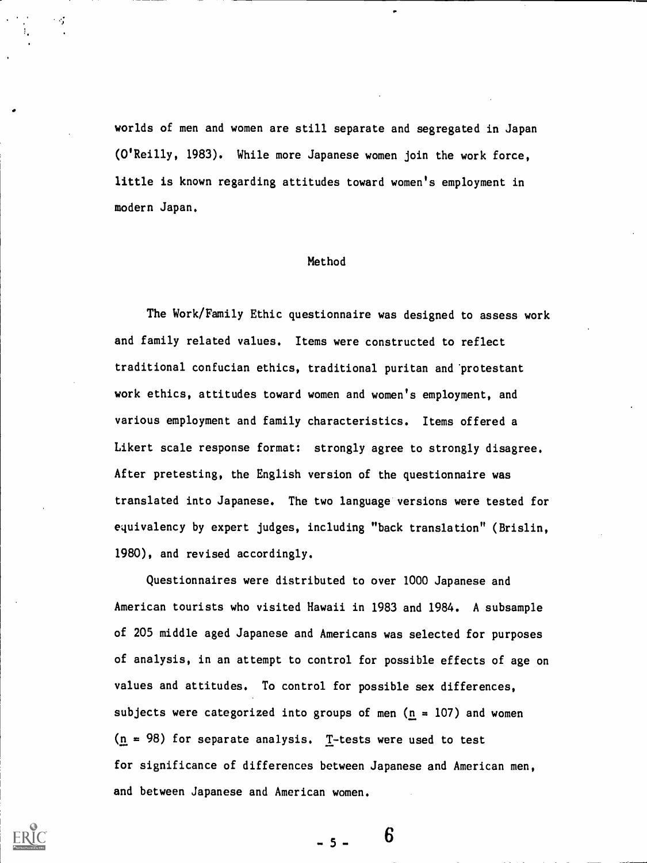worlds of men and women are still separate and segregated in Japan (O'Reilly, 1983). While more Japanese women join the work force, little is known regarding attitudes toward women's employment in modern Japan.

У,

#### Method

The Work/Family Ethic questionnaire was designed to assess work and family related values. Items were constructed to reflect traditional confucian ethics, traditional puritan and'protestant work ethics, attitudes toward women and women's employment, and various employment and family characteristics. Items offered a Likert scale response format: strongly agree to strongly disagree. After pretesting, the English version of the questionnaire was translated into Japanese. The two language versions were tested for equivalency by expert judges, including "back translation" (Brislin, 1980), and revised accordingly.

Questionnaires were distributed to over 1000 Japanese and American tourists who visited Hawaii in 1983 and 1984. A subsample of 205 middle aged Japanese and Americans was selected for purposes of analysis, in an attempt to control for possible effects of age on values and attitudes. To control for possible sex differences, subjects were categorized into groups of men ( $n = 107$ ) and women  $(n = 98)$  for separate analysis. T-tests were used to test for significance of differences between Japanese and American men, and between Japanese and American women.

 $-5 -$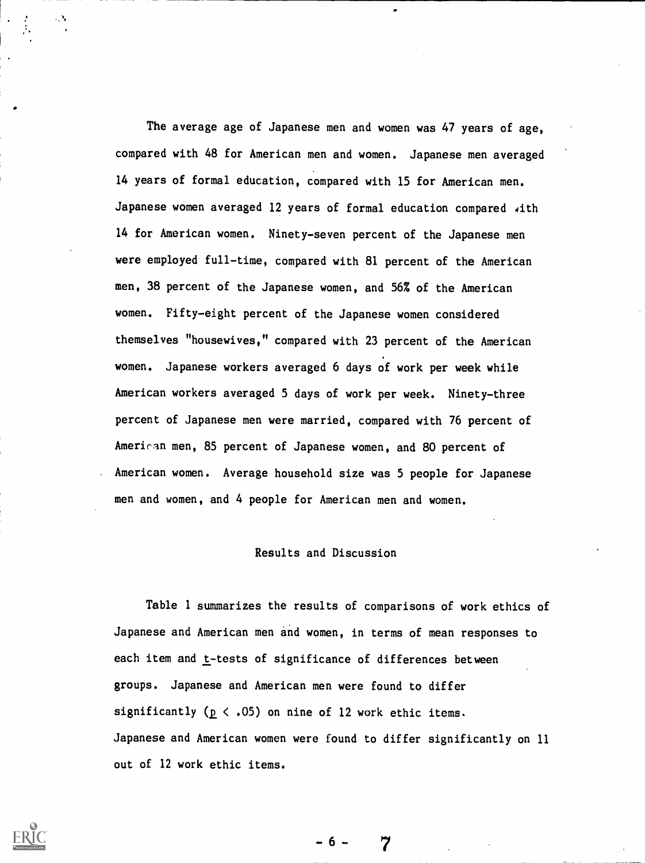The average age of Japanese men and women was 47 years of age, compared with 48 for American men and women. Japanese men averaged 14 years of formal education, compared with 15 for American men. Japanese women averaged 12 years of formal education compared with 14 for American women. Ninety-seven percent of the Japanese men were employed full-time, compared with 81 percent of the American men, 38 percent of the Japanese women, and 56% of the American women. Fifty-eight percent of the Japanese women considered themselves "housewives," compared with 23 percent of the American women. Japanese workers averaged 6 days of work per week while American workers averaged 5 days of work per week. Ninety-three percent of Japanese men were married, compared with 76 percent of American men, 85 percent of Japanese women, and 80 percent of American women. Average household size was 5 people for Japanese men and women, and 4 people for American men and women.

#### Results and Discussion

Table 1 summarizes the results of comparisons of work ethics of Japanese and American men and women, in terms of mean responses to each item and t-tests of significance of differences between groups. Japanese and American men were found to differ significantly ( $p \le .05$ ) on nine of 12 work ethic items. Japanese and American women were found to differ significantly on 11 out of 12 work ethic items.

6 -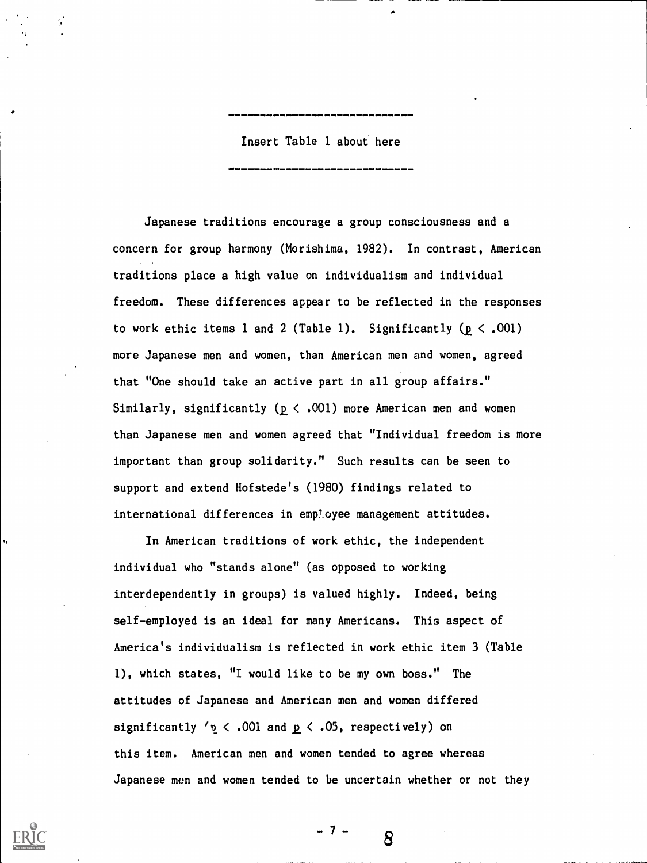Insert Table 1 about here

Japanese traditions encourage a group consciousness and a concern for group harmony (Morishima, 1982). In contrast, American traditions place a high value on individualism and individual freedom. These differences appear to be reflected in the responses to work ethic items 1 and 2 (Table 1). Significantly  $(p < .001)$ more Japanese men and women, than American men and women, agreed that "One should take an active part in all group affairs." Similarly, significantly ( $p < .001$ ) more American men and women than Japanese men and women agreed that "Individual freedom is more important than group solidarity." Such results can be seen to support and extend Hofstede's (1980) findings related to international differences in employee management attitudes.

In American traditions of work ethic, the independent individual who "stands alone" (as opposed to working interdependently in groups) is valued highly. Indeed, being self-employed is an ideal for many Americans. This aspect of America's individualism is reflected in work ethic item 3 (Table 1), which states, "I would like to be my own boss." The attitudes of Japanese and American men and women differed significantly  $r_0 < .001$  and  $p < .05$ , respectively) on this item. American men and women tended to agree whereas Japanese men and women tended to be uncertain whether or not they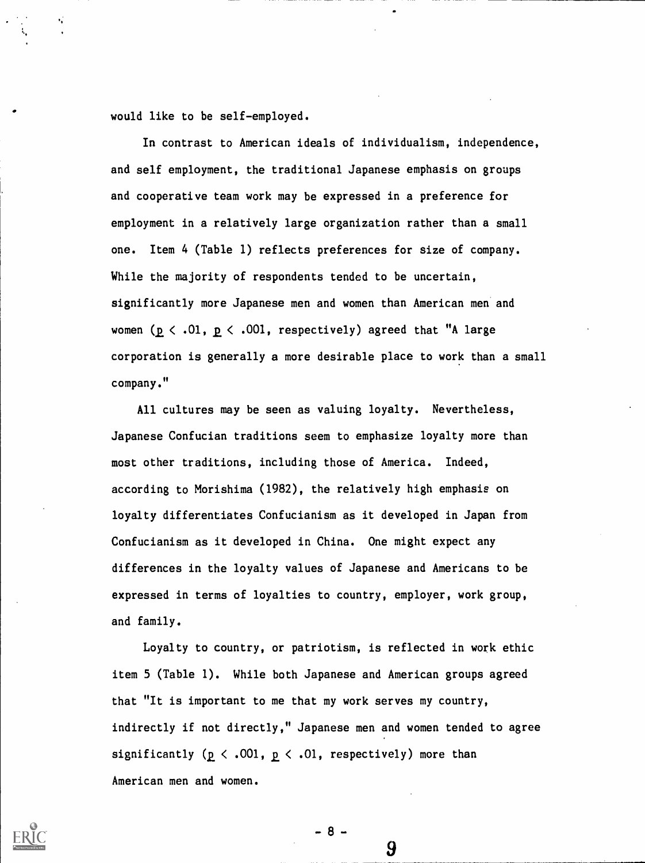would like to be self-employed.

In contrast to American ideals of individualism, independence, and self employment, the traditional Japanese emphasis on groups and cooperative team work may be expressed in a preference for employment in a relatively large organization rather than a small one. Item 4 (Table 1) reflects preferences for size of company. While the majority of respondents tended to be uncertain, significantly more Japanese men and women than American men and women ( $p \lt 0.01$ ,  $p \lt 0.001$ , respectively) agreed that "A large corporation is generally a more desirable place to work than a small company."

All cultures may be seen as valuing loyalty. Nevertheless, Japanese Confucian traditions seem to emphasize loyalty more than most other traditions, including those of America. Indeed, according to Morishima (1982), the relatively high emphasis on loyalty differentiates Confucianism as it developed in Japan from Confucianism as it developed in China. One might expect any differences in the loyalty values of Japanese and Americans to be expressed in terms of loyalties to country, employer, work group, and family.

Loyalty to country, or patriotism, is reflected in work ethic item 5 (Table 1). While both Japanese and American groups agreed that "It is important to me that my work serves my country, indirectly if not directly," Japanese men and women tended to agree significantly ( $p \le .001$ ,  $p \le .01$ , respectively) more than American men and women.

 $-8 -$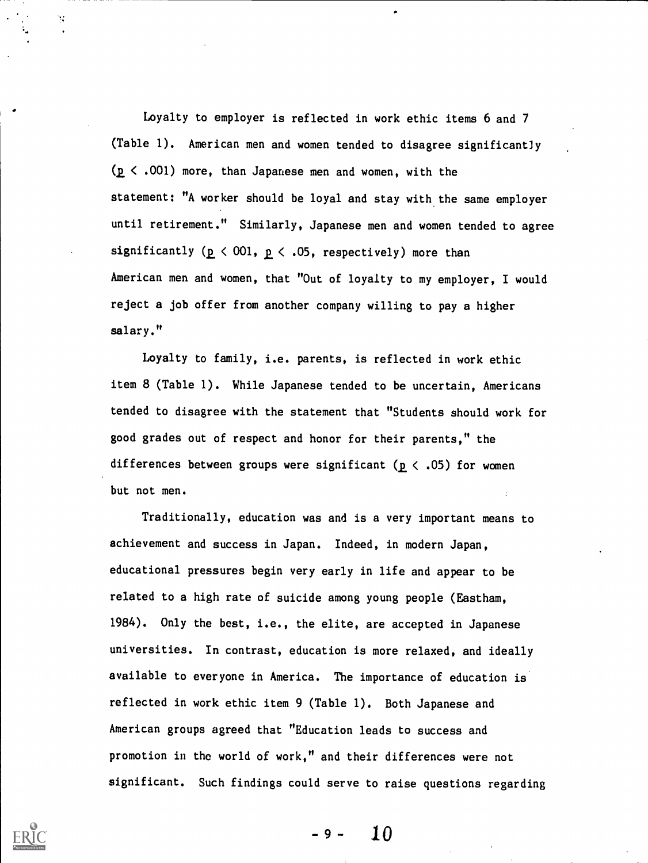Loyalty to employer is reflected in work ethic items 6 and 7 (Table 1). American men and women tended to disagree significant]y  $(p < .001)$  more, than Japanese men and women, with the statement: "A worker should be loyal and stay with the same employer until retirement." Similarly, Japanese men and women tended to agree significantly ( $p \le 001$ ,  $p \le .05$ , respectively) more than American men and women, that "Out of loyalty to my employer, I would reject a job offer from another company willing to pay a higher salary."

Loyalty to family, i.e. parents, is reflected in work ethic item 8 (Table 1). While Japanese tended to be uncertain, Americans tended to disagree with the statement that "Students should work for good grades out of respect and honor for their parents," the differences between groups were significant ( $p \lt .05$ ) for women but not men.

Traditionally, education was and is a very important means to achievement and success in Japan. Indeed, in modern Japan, educational pressures begin very early in life and appear to be related to a high rate of suicide among young people (Eastham, 1984). Only the best, i.e., the elite, are accepted in Japanese universities. In contrast, education is more relaxed, and ideally available to everyone in America. The importance of education is reflected in work ethic item 9 (Table 1). Both Japanese and American groups agreed that "Education leads to success and promotion in the world of work," and their differences were not significant. Such findings could serve to raise questions regarding

 $\mathcal{C}^{\mathcal{A}}$ 

-9- 10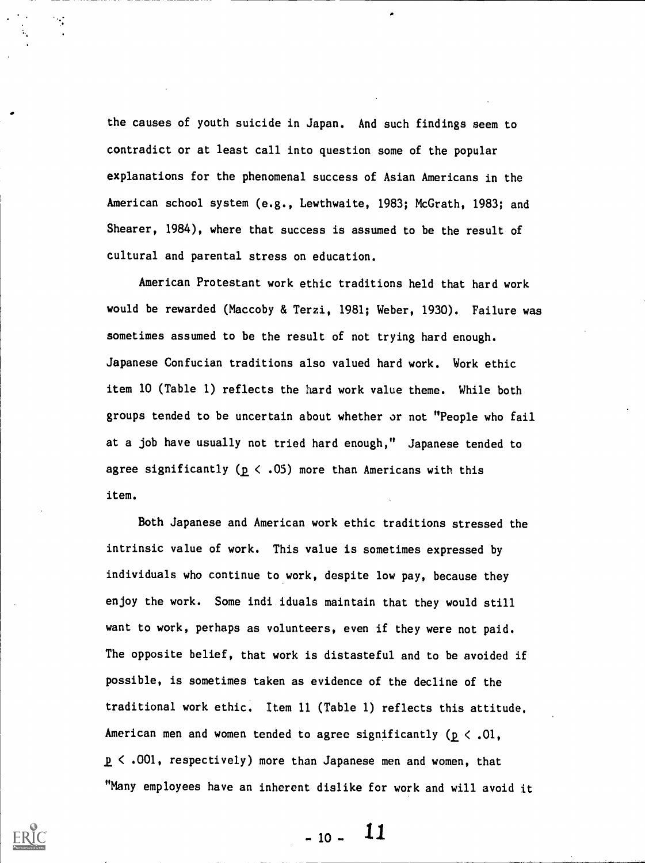the causes of youth suicide in Japan. And such findings seem to contradict or at least call into question some of the popular explanations for the phenomenal success of Asian Americans in the American school system (e.g., Lewthwaite, 1983; McGrath, 1983; and Shearer, 1984), where that success is assumed to be the result of cultural and parental stress on education.

American Protestant work ethic traditions held that hard work would be rewarded (Maccoby & Terzi, 1981; Weber, 1930). Failure was sometimes assumed to be the result of not trying hard enough. Japanese Confucian traditions also valued hard work. Work ethic item 10 (Table 1) reflects the hard work value theme. While both groups tended to be uncertain about whether or not "People who fail at a job have usually not tried hard enough," Japanese tended to agree significantly ( $p \le .05$ ) more than Americans with this item.

Both Japanese and American work ethic traditions stressed the intrinsic value of work. This value is sometimes expressed by individuals who continue to work, despite low pay, because they enjoy the work. Some indi iduals maintain that they would still want to work, perhaps as volunteers, even if they were not paid. The opposite belief, that work is distasteful and to be avoided if possible, is sometimes taken as evidence of the decline of the traditional work ethic. Item 11 (Table 1) reflects this attitude. American men and women tended to agree significantly ( $p < .01$ , < .001, respectively) more than Japanese men and women, that "Many employees have an inherent dislike for work and will avoid it

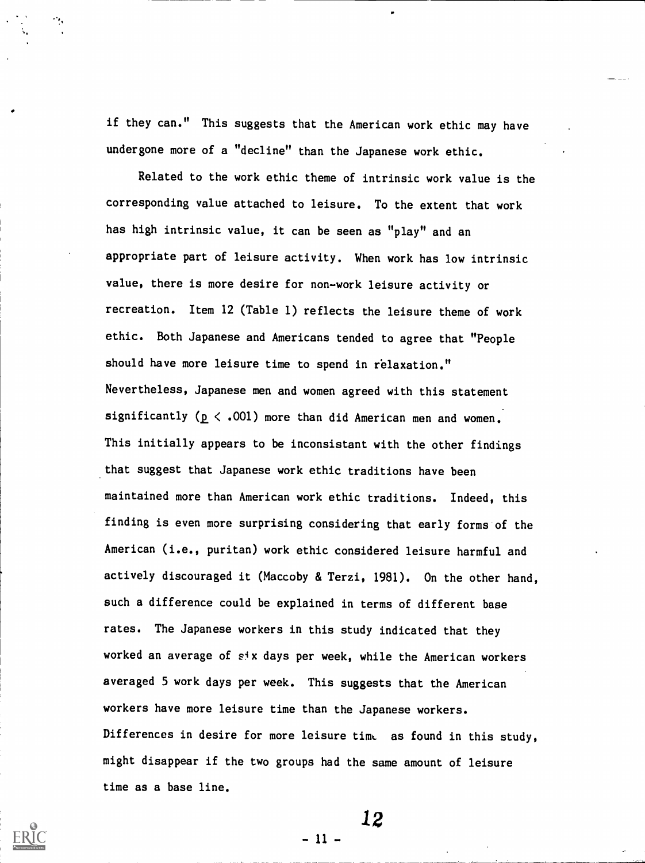if they can." This suggests that the American work ethic may have undergone more of a "decline" than the Japanese work ethic.

Related to the work ethic theme of intrinsic work value is the corresponding value attached to leisure. To the extent that work has high intrinsic value, it can be seen as "play" and an appropriate part of leisure activity. When work has low intrinsic value, there is more desire for non-work leisure activity or recreation. Item 12 (Table 1) reflects the leisure theme of work ethic. Both Japanese and Americans tended to agree that "People should have more leisure time to spend in relaxation." Nevertheless, Japanese men and women agreed with this statement significantly ( $p \le .001$ ) more than did American men and women. This initially appears to be inconsistant with the other findings that suggest that Japanese work ethic traditions have been maintained more than American work ethic traditions. Indeed, this finding is even more surprising considering that early forms of the American (i.e., puritan) work ethic considered leisure harmful and actively discouraged it (Maccoby & Terzi, 1981). On the other hand, such a difference could be explained in terms of different base rates. The Japanese workers in this study indicated that they worked an average of six days per week, while the American workers averaged 5 work days per week. This suggests that the American workers have more leisure time than the Japanese workers. Differences in desire for more leisure time as found in this study, might disappear if the two groups had the same amount of leisure time as a base line.

12

- 11 -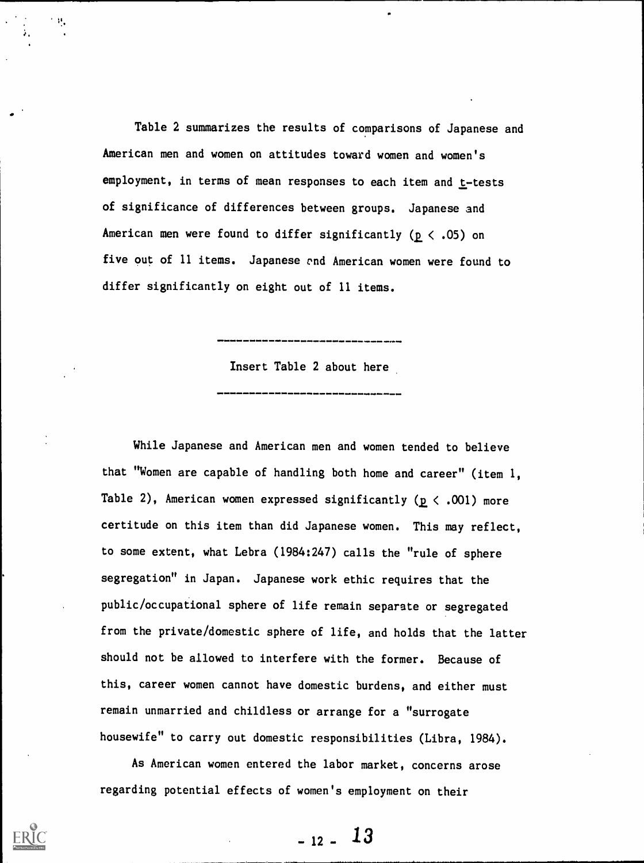Table 2 summarizes the results of comparisons of Japanese and American men and women on attitudes toward women and women's employment, in terms of mean responses to each item and  $t$ -tests of significance of differences between groups. Japanese and American men were found to differ significantly ( $p \le .05$ ) on five out of 11 items. Japanese vnd American women were found to differ significantly on eight out of 11 items.

Insert Table 2 about here

While Japanese and American men and women tended to believe that "Women are capable of handling both home and career" (item 1, Table 2), American women expressed significantly ( $p < .001$ ) more certitude on this item than did Japanese women. This may reflect, to some extent, what Lebra (1984:247) calls the "rule of sphere segregation" in Japan. Japanese work ethic requires that the public/occupational sphere of life remain separate or segregated from the private/domestic sphere of life, and holds that the latter should not be allowed to interfere with the former. Because of this, career women cannot have domestic burdens, and either must remain unmarried and childless or arrange for a "surrogate housewife" to carry out domestic responsibilities (Libra, 1984).

As American women entered the labor market, concerns arose regarding potential effects of women's employment on their

 $-12 - 13$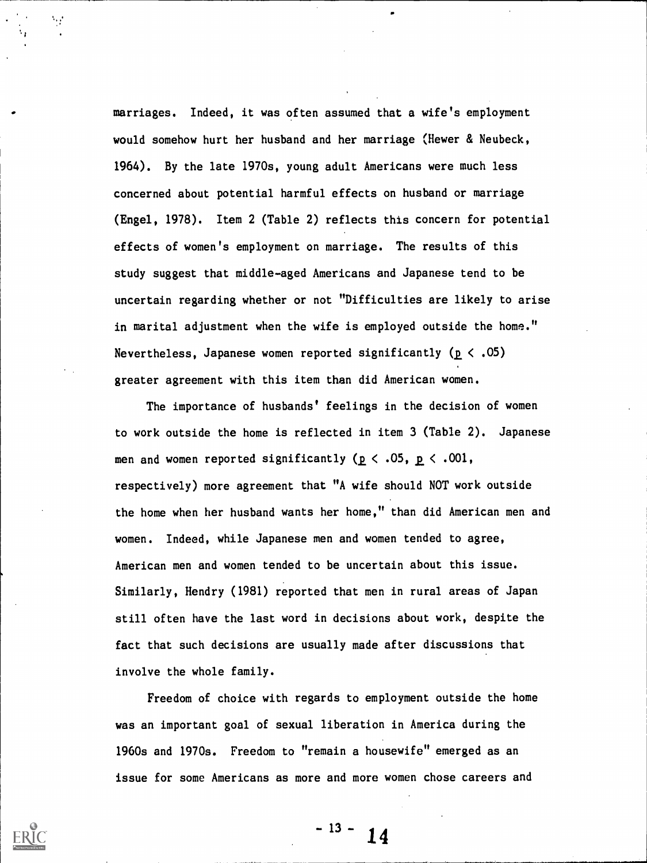marriages. Indeed, it was often assumed that a wife's employment would somehow hurt her husband and her marriage (Hewer & Neubeck, 1964). By the late 1970s, young adult Americans were much less concerned about potential harmful effects on husband or marriage (Engel, 1978). Item 2 (Table 2) reflects this concern for potential effects of women's employment on marriage. The results of this study suggest that middle-aged Americans and Japanese tend to be uncertain regarding whether or not "Difficulties are likely to arise in marital adjustment when the wife is employed outside the home." Nevertheless, Japanese women reported significantly ( $p < .05$ ) greater agreement with this item than did American women.

The importance of husbands' feelings in the decision of women to work outside the home is reflected in item 3 (Table 2). Japanese men and women reported significantly ( $p < .05$ ,  $p < .001$ , respectively) more agreement that "A wife should NOT work outside the home when her husband wants her home," than did American men and women. Indeed, while Japanese men and women tended to agree, American men and women tended to be uncertain about this issue. Similarly, Hendry (1981) reported that men in rural areas of Japan still often have the last word in decisions about work, despite the fact that such decisions are usually made after discussions that involve the whole family.

Freedom of choice with regards to employment outside the home was an important goal of sexual liberation in America during the 1960s and 1970s. Freedom to "remain a housewife" emerged as an issue for some Americans as more and more women chose careers and

 $-13 - 14$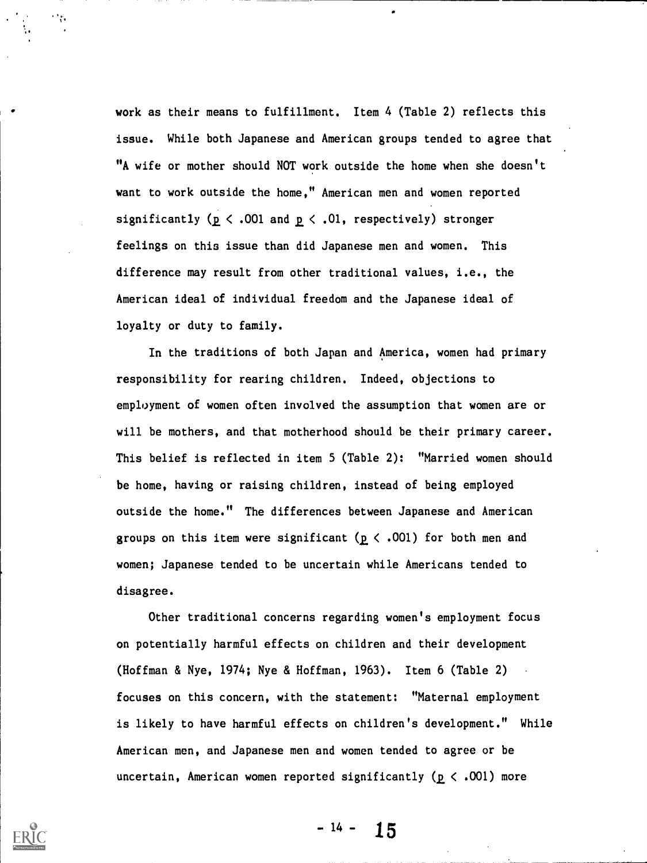work as their means to fulfillment. Item 4 (Table 2) reflects this issue. While both Japanese and American groups tended to agree that "A wife or mother should NOT work outside the home when she doesn't want to work outside the home," American men and women reported significantly ( $p \le .001$  and  $p \le .01$ , respectively) stronger feelings on this issue than did Japanese men and women. This difference may result from other traditional values, i.e., the American ideal of individual freedom and the Japanese ideal of loyalty or duty to family.

In the traditions of both Japan and America, women had primary responsibility for rearing children. Indeed, objections to employment of women often involved the assumption that women are or will be mothers, and that motherhood should be their primary career. This belief is reflected in item 5 (Table 2): "Married women should be home, having or raising children, instead of being employed outside the home." The differences between Japanese and American groups on this item were significant ( $p \lt .001$ ) for both men and women; Japanese tended to be uncertain while Americans tended to disagree.

Other traditional concerns regarding women's employment focus on potentially harmful effects on children and their development (Hoffman & Nye, 1974; Nye & Hoffman, 1963). Item 6 (Table 2) focuses on this concern, with the statement: "Maternal employment is likely to have harmful effects on children's development." While American men, and Japanese men and women tended to agree or be uncertain, American women reported significantly ( $p < .001$ ) more

 $-14 - 15$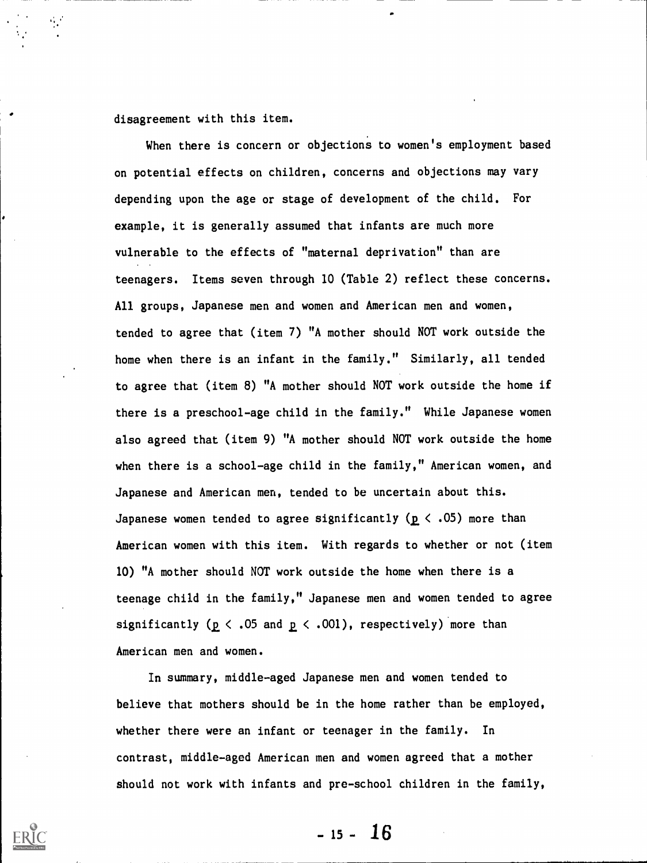disagreement with this item.

When there is concern or objections to women's employment based on potential effects on children, concerns and objections may vary depending upon the age or stage of development of the child. For example, it is generally assumed that infants are much more vulnerable to the effects of "maternal deprivation" than are teenagers. Items seven through 10 (Table 2) reflect these concerns. All groups, Japanese men and women and American men and women, tended to agree that (item 7) "A mother should NOT work outside the home when there is an infant in the family." Similarly, all tended to agree that (item 8) "A mother should NOT work outside the home if there is a preschool-age child in the family." While Japanese women also agreed that (item 9) "A mother should NOT work outside the home when there is a school-age child in the family," American women, and Japanese and American men, tended to be uncertain about this. Japanese women tended to agree significantly ( $p \le .05$ ) more than American women with this item. With regards to whether or not (item 10) "A mother should NOT work outside the home when there is a teenage child in the family," Japanese men and women tended to agree significantly ( $p \le .05$  and  $p \le .001$ ), respectively) more than American men and women.

In summary, middle-aged Japanese men and women tended to believe that mothers should be in the home rather than be employed, whether there were an infant or teenager in the family. In contrast, middle-aged American men and women agreed that a mother should not work with infants and pre-school children in the family,

 $-15 - 16$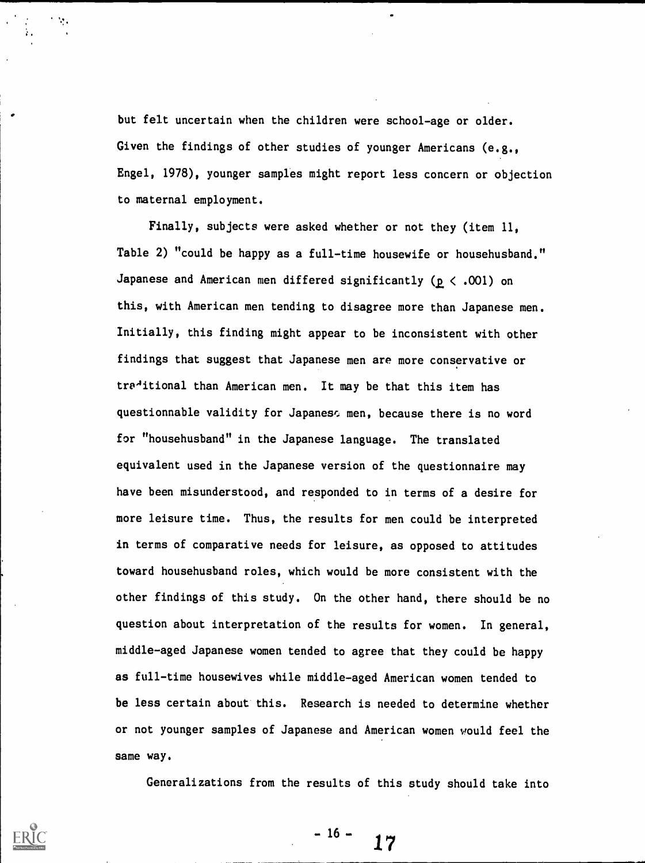but felt uncertain when the children were school-age or older. Given the findings of other studies of younger Americans (e.g., Engel, 1978), younger samples might report less concern or objection to maternal employment.

Finally, subjects were asked whether or not they (item 11, Table 2) "could be happy as a full-time housewife or househusband." Japanese and American men differed significantly ( $p < .001$ ) on this, with American men tending to disagree more than Japanese men. Initially, this finding might appear to be inconsistent with other findings that suggest that Japanese men are more conservative or traditional than American men. It may be that this item has questionnable validity for Japaness men, because there is no word for "househusband" in the Japanese language. The translated equivalent used in the Japanese version of the questionnaire may have been misunderstood, and responded to in terms of a desire for more leisure time. Thus, the results for men could be interpreted in terms of comparative needs for leisure, as opposed to attitudes toward househusband roles, which would be more consistent with the other findings of this study. On the other hand, there should be no question about interpretation of the results for women. In general, middle-aged Japanese women tended to agree that they could be happy as full-time housewives while middle-aged American women tended to be less certain about this. Research is needed to determine whether or not younger samples of Japanese and American women would feel the same way.

Generalizations from the results of this study should take into

 $-16 -$ 17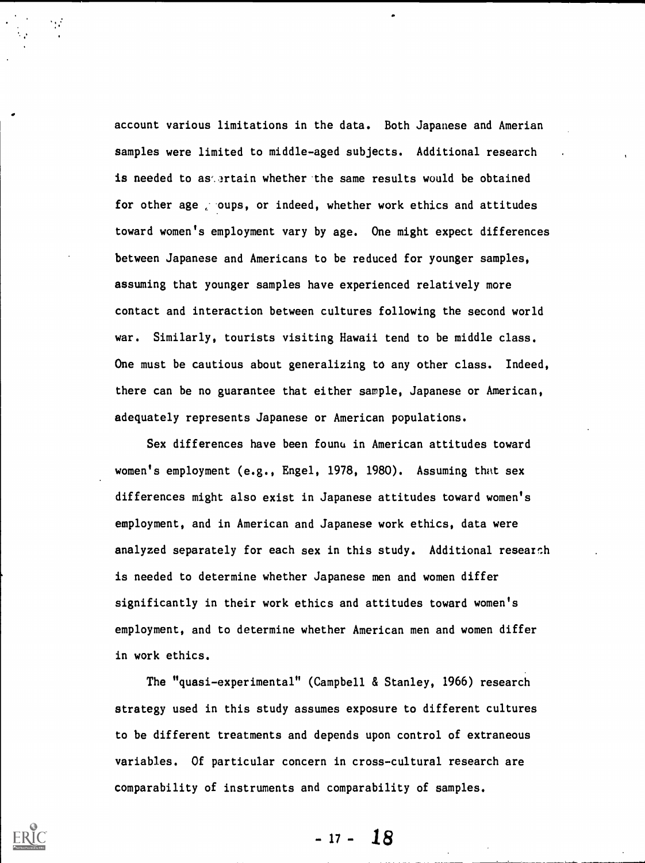account various limitations in the data. Both Japanese and Amerian samples were limited to middle-aged subjects. Additional research is needed to as artain whether the same results would be obtained for other age oups, or indeed, whether work ethics and attitudes toward women's employment vary by age. One might expect differences between Japanese and Americans to be reduced for younger samples, assuming that younger samples have experienced relatively more contact and interaction between cultures following the second world war. Similarly, tourists visiting Hawaii tend to be middle class. One must be cautious about generalizing to any other class. Indeed, there can be no guarantee that either sample, Japanese or American, adequately represents Japanese or American populations.

Sex differences have been founu in American attitudes toward women's employment (e.g., Engel, 1978, 1980). Assuming that sex differences might also exist in Japanese attitudes toward women's employment, and in American and Japanese work ethics, data were analyzed separately for each sex in this study. Additional research is needed to determine whether Japanese men and women differ significantly in their work ethics and attitudes toward women's employment, and to determine whether American men and women differ in work ethics.

The "quasi-experimental" (Campbell & Stanley, 1966) research strategy used in this study assumes exposure to different cultures to be different treatments and depends upon control of extraneous variables. Of particular concern in cross-cultural research are comparability of instruments and comparability of samples.

 $-17 - 18$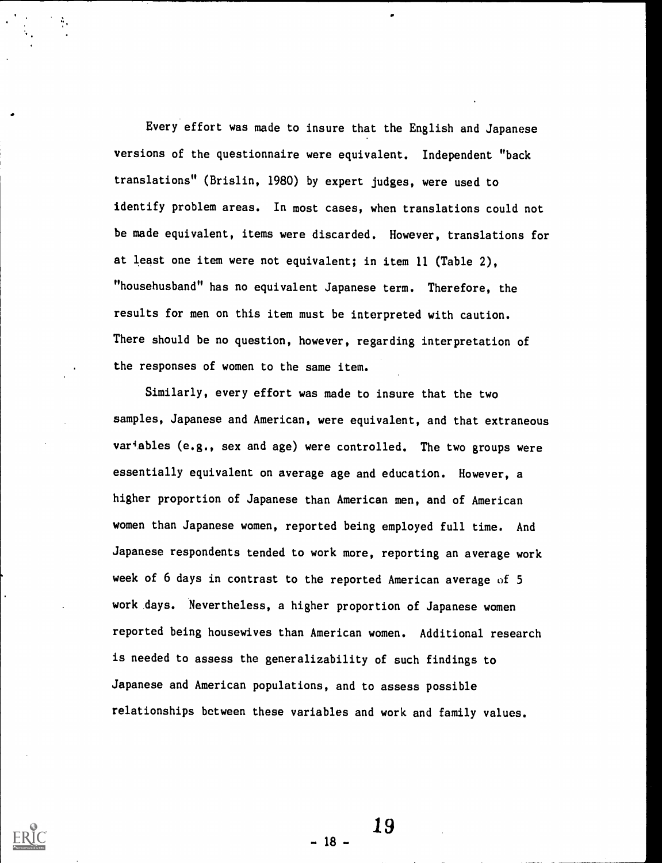Every effort was made to insure that the English and Japanese versions of the questionnaire were equivalent. Independent "back translations" (Brislin, 1980) by expert judges, were used to identify problem areas. In most cases, when translations could not be made equivalent, items were discarded. However, translations for at least one item were not equivalent; in item 11 (Table 2), "househusband" has no equivalent Japanese term. Therefore, the results for men on this item must be interpreted with caution. There should be no question, however, regarding interpretation of the responses of women to the same item.

Similarly, every effort was made to insure that the two samples, Japanese and American, were equivalent, and that extraneous variables (e.g., sex and age) were controlled. The two groups were essentially equivalent on average age and education. However, a higher proportion of Japanese than American men, and of American women than Japanese women, reported being employed full time. And Japanese respondents tended to work more, reporting an average work week of 6 days in contrast to the reported American average of 5 work days. Nevertheless, a higher proportion of Japanese women reported being housewives than American women. Additional research is needed to assess the generalizability of such findings to Japanese and American populations, and to assess possible relationships between these variables and work and family values.

19

- 18 -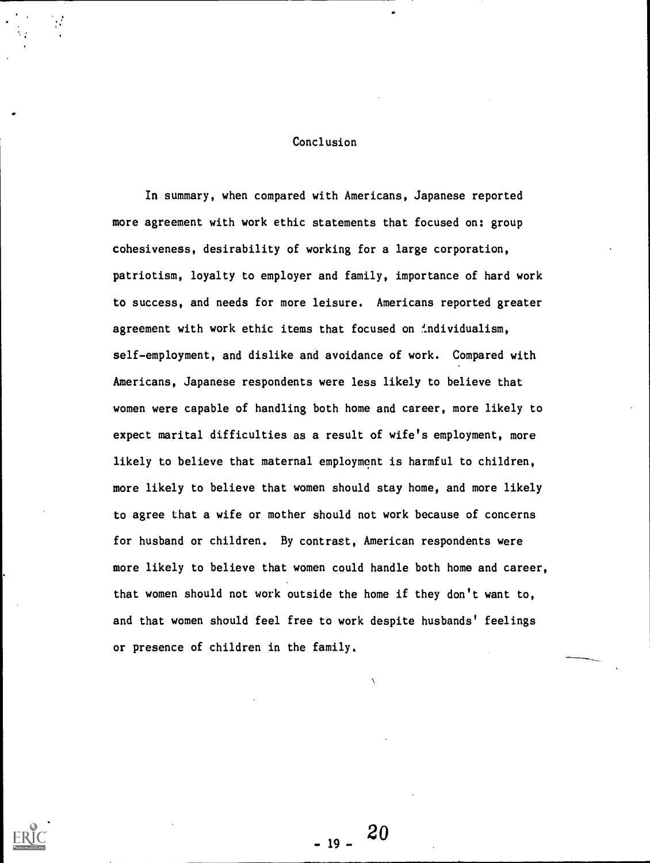### Conclusion

In summary, when compared with Americans, Japanese reported more agreement with work ethic statements that focused on: group cohesiveness, desirability of working for a large corporation, patriotism, loyalty to employer and family, importance of hard work to success, and needs for more leisure. Americans reported greater agreement with work ethic items that focused on individualism, self-employment, and dislike and avoidance of work. Compared with Americans, Japanese respondents were less likely to believe that women were capable of handling both home and career, more likely to expect marital difficulties as a result of wife's employment, more likely to believe that maternal employment is harmful to children, more likely to believe that women should stay home, and more likely to agree that a wife or mother should not work because of concerns for husband or children. By contrast, American respondents were more likely to believe that women could handle both home and career, that women should not work outside the home if they don't want to, and that women should feel free to work despite husbands' feelings or presence of children in the family.

20

 $-19-$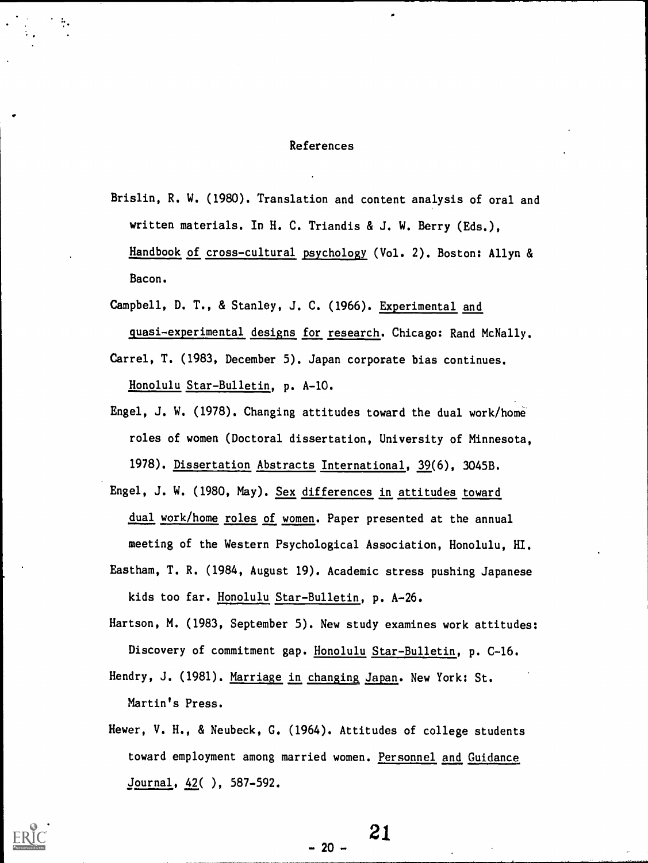### References

- Brislin, R. W. (1980). Translation and content analysis of oral and written materials. In H. C. Triandis & J. W. Berry (Eds.), Handbook of cross-cultural psychology (Vol. 2). Boston: Allyn & Bacon.
- Campbell, D. T., & Stanley, J. C. (1966). Experimental and quasi-experimental designs for research. Chicago: Rand McNally.
- Carrel, T. (1983, December 5). Japan corporate bias continues. Honolulu Star-Bulletin, p. A-10.
- Engel, J. W. (1978). Changing attitudes toward the dual work/home roles of women (Doctoral dissertation, University of Minnesota, 1978). Dissertation Abstracts International, 39(6), 3045B.
- Engel, J. W. (1980, May). Sex differences in attitudes toward dual work/home roles of women. Paper presented at the annual meeting of the Western Psychological Association, Honolulu, HI.
- Eastham, T. R. (1984, August 19). Academic stress pushing Japanese kids too far. Honolulu Star-Bulletin, p. A-26.
- Hartson, M. (1983, September 5). New study examines work attitudes: Discovery of commitment gap. Honolulu Star-Bulletin, p. C-16.
- Hendry, J. (1981). Marriage in changing Japan. New York: St. Martin's Press.
- Hewer, V. H., & Neubeck, G. (1964). Attitudes of college students toward employment among married women. Personnel and Guidance Journal, 42( ), 587-592.

 $-20 -$ 

$$
-21
$$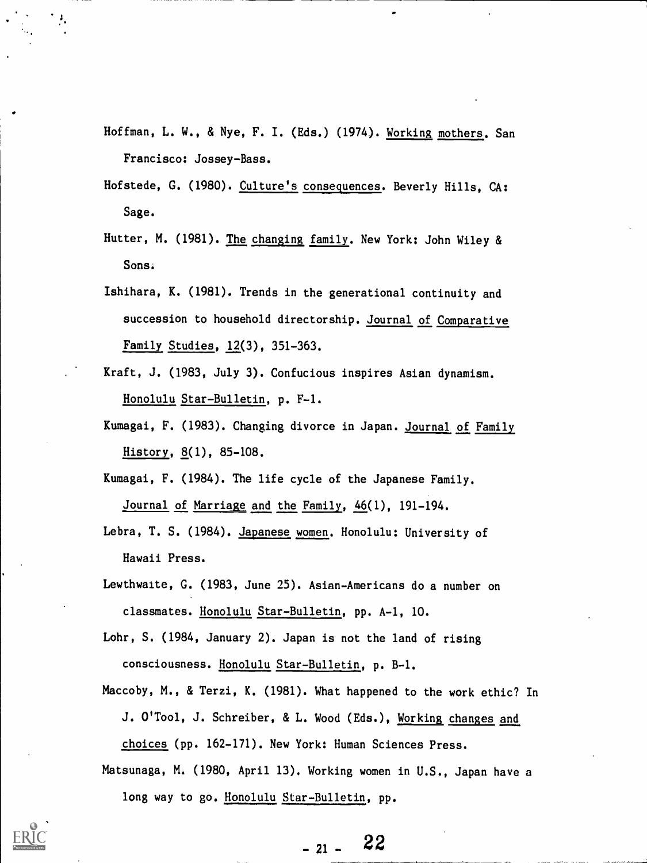- Hoffman, L. W., & Nye, F. I. (Eds.) (1974). Working mothers. San Francisco: Jossey-Bass.
- Hofstede, G. (1980). Culture's consequences. Beverly Hills, CA: Sage.
- Hutter, M. (1981). The changing family. New York: John Wiley & Sons.
- Ishihara, K. (1981). Trends in the generational continuity and succession to household directorship. Journal of Comparative Family Studies, 12(3), 351-363.
- Kraft, J. (1983, July 3). Confucious inspires Asian dynamism. Honolulu Star-Bulletin, p. F-1.
- Kumagai, F. (1983). Changing divorce in Japan. Journal of Family History, 8(1), 85-108.

Kumagai, F. (1984). The life cycle of the Japanese Family. Journal of Marriage and the Family, 46(1), 191-194.

- Lebra, T. S. (1984). Japanese women. Honolulu: University of Hawaii Press.
- Lewthwaite, G. (1983, June 25). Asian-Americans do a number on classmates. Honolulu Star-Bulletin, pp. A-1, 10.
- Lohr, S. (1984, January 2). Japan is not the land of rising consciousness. Honolulu Star-Bulletin, p. B-1.
- Maccoby, M., & Terzi, K. (1981). What happened to the work ethic? In J. O'Tool, J. Schreiber, & L. Wood (Eds.), Working changes and choices (pp. 162-171). New York: Human Sciences Press.
- Matsunaga, M. (1980, April 13). Working women in U.S., Japan have a long way to go. Honolulu Star-Bulletin, pp.

22  $-21 -$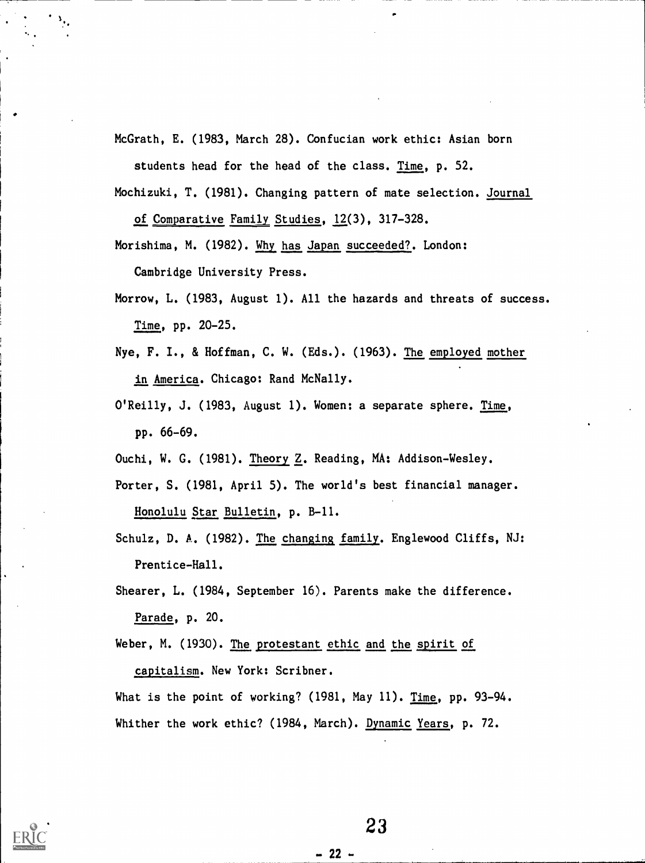McGrath, E. (1983, March 28). Confucian work ethic: Asian born

students head for the head of the class. Time, p. 52.

Mochizuki, T. (1981). Changing pattern of mate selection. Journal of Comparative Family Studies, 12(3), 317-328.

Morishima, M. (1982). Why has Japan succeeded?. London: Cambridge University Press.

Morrow, L. (1983, August 1). All the hazards and threats of success. Time, pp. 20-25.

- Nye, F. I., & Hoffman, C. W. (Eds.). (1963). The employed mother in America. Chicago: Rand McNally.
- O'Reilly, J. (1983, August 1). Women: a separate sphere. Time, pp. 66-69.
- Ouchi, W. G. (1981). Theory Z. Reading, MA: Addison-Wesley.

Porter, S. (1981, April 5). The world's best financial manager. Honolulu Star Bulletin, p. B-11.

Schulz, D. A. (1982). The changing family. Englewood Cliffs, NJ: Prentice-Hall.

Shearer, L. (1984, September 16). Parents make the difference. Parade, p. 20.

Weber, M. (1930). The protestant ethic and the spirit of

capitalism. New York: Scribner.

What is the point of working? (1981, May 11). Time, pp. 93-94. Whither the work ethic? (1984, March). Dynamic Years, p. 72.

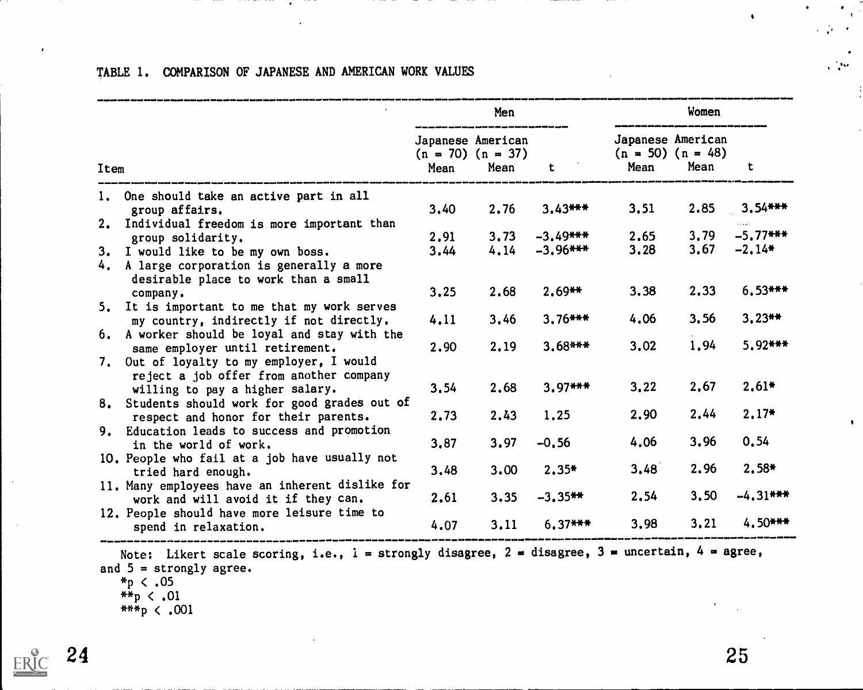|      |                                                                                                                                               | Men  |                                                    |             | Women |                                                    |             |  |
|------|-----------------------------------------------------------------------------------------------------------------------------------------------|------|----------------------------------------------------|-------------|-------|----------------------------------------------------|-------------|--|
| Item |                                                                                                                                               | Mean | Japanese American<br>$(n = 70)$ $(n = 37)$<br>Mean | t.          | Mean  | Japanese American<br>$(n = 50)$ $(n = 48)$<br>Mean | t           |  |
|      | 1. One should take an active part in all<br>group affairs.                                                                                    | 3,40 | 2.76                                               | $3.43***$   | 3.51  | 2.85                                               | $3.54***$   |  |
|      | 2. Individual freedom is more important than                                                                                                  | 2,91 | 3.73                                               | $-3.49$ *** | 2,65  | 3,79                                               | $-5.77$ *** |  |
|      | group solidarity.<br>3. I would like to be my own boss.<br>4. A large corporation is generally a more<br>desirable place to work than a small | 3.44 | 4.14                                               | $-3,96$ *** | 3,28  | 3,67                                               | $-2.14*$    |  |
|      | company.                                                                                                                                      | 3,25 | 2.68                                               | $2.69**$    | 3.38  | 2.33                                               | $6.53***$   |  |
|      | 5. It is important to me that my work serves<br>my country, indirectly if not directly.                                                       | 4.11 | 3,46                                               | $3.76***$   | 4.06  | 3,56                                               | $3.23**$    |  |
|      | 6. A worker should be loyal and stay with the<br>same employer until retirement.<br>7. Out of loyalty to my employer, I would                 | 2.90 | 2.19                                               | $3.68***$   | 3.02  | 1,94                                               | $5.92***$   |  |
|      | reject a job offer from another company<br>willing to pay a higher salary.                                                                    | 3,54 | 2,68                                               | $3.97***$   | 3.22  | 2.67                                               | $2,61*$     |  |
|      | 8. Students should work for good grades out of<br>respect and honor for their parents.                                                        | 2.73 | 2.43                                               | 1,25        | 2.90  | 2.44                                               | $2.17*$     |  |
|      | 9. Education leads to success and promotion<br>in the world of work.                                                                          | 3,87 | 3.97                                               | $-0.56$     | 4.06  | 3.96                                               | 0.54        |  |
|      | 10. People who fail at a job have usually not<br>tried hard enough.                                                                           | 3,48 | 3.00                                               | $2,35*$     | 3,48  | 2.96                                               | $2,58*$     |  |
|      | 11. Many employees have an inherent dislike for<br>work and will avoid it if they can.                                                        | 2.61 | 3.35                                               | $-3.35***$  | 2.54  | 3,50                                               | $-4.31***$  |  |
|      | 12. People should have more leisure time to<br>spend in relaxation.                                                                           | 4.07 | 3.11                                               | $6.37***$   | 3,98  | 3.21                                               | $4.50***$   |  |

## TABLE 1. COMPARISON OF JAPANESE AND AMERICAN WORK VALUES

 $\bullet$ 

Note: Likert scale scoring, i.e.,  $i =$  strongly disagree,  $2 =$  disagree,  $3 =$  uncertain,  $4 =$  agree, and  $5 =$  strongly agree.

- $*_{p}$  < .05
- $*_{p} < .01$
- $***p < .001$

 $24$  25

 $\bullet$  $\overline{A}$ 

 $\bullet$  $\mathcal{L}^{\text{max}}_{\text{max}}$ 

 $\frac{1}{4}$ 

 $\frac{1}{2} \int_{\mathbb{R}^2} \rho(x) \, dx$ 

 $\ddot{\bullet}$ 

ER

 $\bullet$